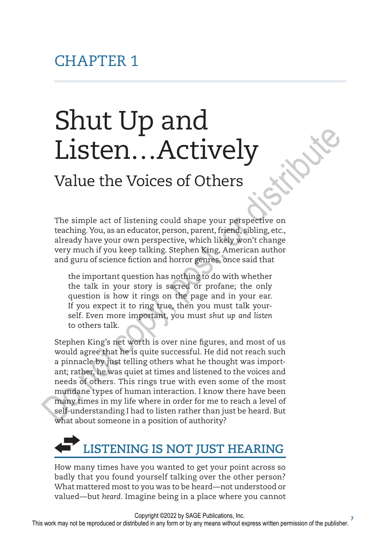# Shut Up and Listen…Actively

### Value the Voices of Others

The simple act of listening could shape your perspective on teaching. You, as an educator, person, parent, friend, sibling, etc., already have your own perspective, which likely won't change very much if you keep talking. Stephen King, American author and guru of science fiction and horror genres, once said that

the important question has nothing to do with whether the talk in your story is sacred or profane; the only question is how it rings on the page and in your ear. If you expect it to ring true, then you must talk yourself. Even more important, you must *shut up and listen* to others talk.

Stephen King's net worth is over nine figures, and most of us would agree that he is quite successful. He did not reach such a pinnacle by just telling others what he thought was important; rather, he was quiet at times and listened to the voices and needs of others. This rings true with even some of the most mundane types of human interaction. I know there have been many times in my life where in order for me to reach a level of self-understanding I had to listen rather than just be heard. But what about someone in a position of authority? Listen Wellister Correlate Schemes Schemes The simple act of listening could shape your perspective on teaching You, as an educator, person, parent, friend, sibling, etc., already have your own perspective, which likely wo

## **LISTENING IS NOT JUST HEARING**

How many times have you wanted to get your point across so badly that you found yourself talking over the other person? What mattered most to you was to be heard—not understood or valued—but *heard*. Imagine being in a place where you cannot

Copyright ©2022 by SAGE Publications, Inc.

7 This work may not be reproduced or distributed in any form or by any means without express written permission of the publisher.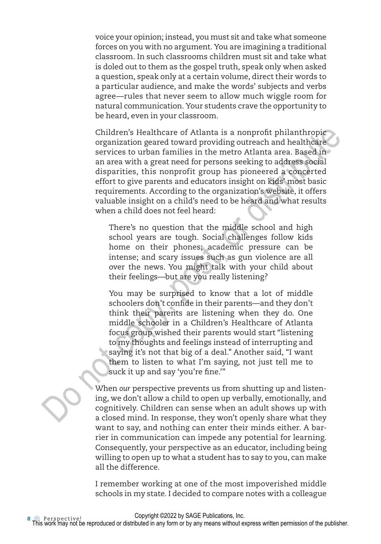voice your opinion; instead, you must sit and take what someone forces on you with no argument. You are imagining a traditional classroom. In such classrooms children must sit and take what is doled out to them as the gospel truth, speak only when asked a question, speak only at a certain volume, direct their words to a particular audience, and make the words' subjects and verbs agree—rules that never seem to allow much wiggle room for natural communication. Your students crave the opportunity to be heard, even in your classroom.

Children's Healthcare of Atlanta is a nonprofit philanthropic organization geared toward providing outreach and healthcare services to urban families in the metro Atlanta area. Based in an area with a great need for persons seeking to address social disparities, this nonprofit group has pioneered a concerted effort to give parents and educators insight on kids' most basic requirements. According to the organization's website, it offers valuable insight on a child's need to be heard and what results when a child does not feel heard: Children's Healthcare of Atlanta is a nonprofit philanthropic<br>organization geared toward providing outreach and healthcare<br>services to urban families in the metro Atlanta area. Based in<br>an area with a great need for person

There's no question that the middle school and high school years are tough. Social challenges follow kids home on their phones; academic pressure can be intense; and scary issues such as gun violence are all over the news. You might talk with your child about their feelings—but are you really listening?

You may be surprised to know that a lot of middle schoolers don't confide in their parents—and they don't think their parents are listening when they do. One middle schooler in a Children's Healthcare of Atlanta focus group wished their parents would start "listening to my thoughts and feelings instead of interrupting and saying it's not that big of a deal." Another said, "I want them to listen to what I'm saying, not just tell me to suck it up and say 'you're fine.'"

When *our* perspective prevents us from shutting up and listening, we don't allow a child to open up verbally, emotionally, and cognitively. Children can sense when an adult shows up with a closed mind. In response, they won't openly share what they want to say, and nothing can enter their minds either. A barrier in communication can impede any potential for learning. Consequently, your perspective as an educator, including being willing to open up to what a student has to say to you, can make all the difference.

I remember working at one of the most impoverished middle schools in my state. I decided to compare notes with a colleague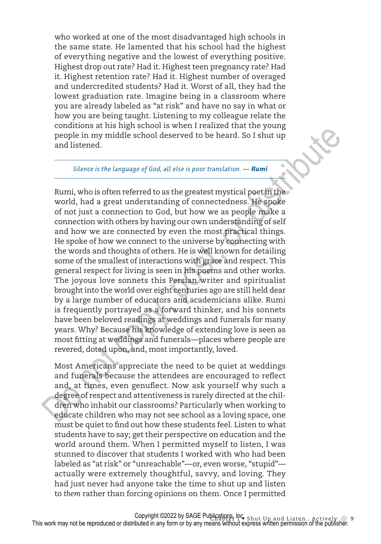who worked at one of the most disadvantaged high schools in the same state. He lamented that his school had the highest of everything negative and the lowest of everything positive. Highest drop out rate? Had it. Highest teen pregnancy rate? Had it. Highest retention rate? Had it. Highest number of overaged and undercredited students? Had it. Worst of all, they had the lowest graduation rate. Imagine being in a classroom where you are already labeled as "at risk" and have no say in what or how you are being taught. Listening to my colleague relate the conditions at his high school is when I realized that the young people in my middle school deserved to be heard. So I shut up and listened.

#### *Silence is the language of God, all else is poor translation. —* **Rumi**

Rumi, who is often referred to as the greatest mystical poet in the world, had a great understanding of connectedness. He spoke of not just a connection to God, but how we as people make a connection with others by having our own understanding of self and how we are connected by even the most practical things. He spoke of how we connect to the universe by connecting with the words and thoughts of others. He is well known for detailing some of the smallest of interactions with grace and respect. This general respect for living is seen in his poems and other works. The joyous love sonnets this Persian writer and spiritualist brought into the world over eight centuries ago are still held dear by a large number of educators and academicians alike. Rumi is frequently portrayed as a forward thinker, and his sonnets have been beloved readings at weddings and funerals for many years. Why? Because his knowledge of extending love is seen as most fitting at weddings and funerals—places where people are revered, doted upon, and, most importantly, loved. bending the main and the steaded of described that in the young<br>speed in my middle school deserved to be heard. So I shut up<br>and listened.<br>
Silence is the language of 6od, all else is poor translation. — Rumi<br>
Rumi, who i

Most Americans appreciate the need to be quiet at weddings and funerals because the attendees are encouraged to reflect and, at times, even genuflect. Now ask yourself why such a degree of respect and attentiveness is rarely directed at the children who inhabit our classrooms? Particularly when working to educate children who may not see school as a loving space, one must be quiet to find out how these students feel. Listen to what students have to say; get their perspective on education and the world around them. When I permitted myself to listen, I was stunned to discover that students I worked with who had been labeled as "at risk" or "unreachable"—or, even worse, "stupid" actually were extremely thoughtful, savvy, and loving. They had just never had anyone take the time to shut up and listen to *them* rather than forcing opinions on them. Once I permitted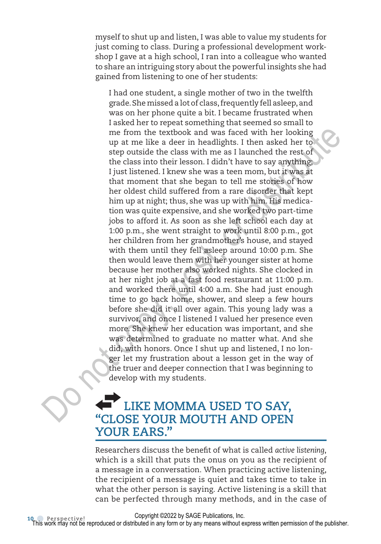myself to shut up and listen, I was able to value my students for just coming to class. During a professional development workshop I gave at a high school, I ran into a colleague who wanted to share an intriguing story about the powerful insights she had gained from listening to one of her students:

I had one student, a single mother of two in the twelfth grade. She missed a lot of class, frequently fell asleep, and was on her phone quite a bit. I became frustrated when I asked her to repeat something that seemed so small to me from the textbook and was faced with her looking up at me like a deer in headlights. I then asked her to step outside the class with me as I launched the rest of the class into their lesson. I didn't have to say anything; I just listened. I knew she was a teen mom, but it was at that moment that she began to tell me stories of how her oldest child suffered from a rare disorder that kept him up at night; thus, she was up with him. His medication was quite expensive, and she worked two part-time jobs to afford it. As soon as she left school each day at 1:00 p.m., she went straight to work until 8:00 p.m., got her children from her grandmother's house, and stayed with them until they fell asleep around 10:00 p.m. She then would leave them with her younger sister at home because her mother also worked nights. She clocked in at her night job at a fast food restaurant at 11:00 p.m. and worked there until 4:00 a.m. She had just enough time to go back home, shower, and sleep a few hours before she did it all over again. This young lady was a survivor, and once I listened I valued her presence even more. She knew her education was important, and she was determined to graduate no matter what. And she did, with honors. Once I shut up and listened, I no longer let my frustration about a lesson get in the way of the truer and deeper connection that I was beginning to develop with my students. me from the textbook and was faced with her looking<br>up at me like a deer in headlights. I then asked her text of<br>step outside the class with me as 1 launched the rest of<br>the class into their lesson. I didn't have to say a

### **LIKE MOMMA USED TO SAY, "CLOSE YOUR MOUTH AND OPEN YOUR EARS."**

Researchers discuss the benefit of what is called *active listening*, which is a skill that puts the onus on you as the recipient of a message in a conversation. When practicing active listening, the recipient of a message is quiet and takes time to take in what the other person is saying. Active listening is a skill that can be perfected through many methods, and in the case of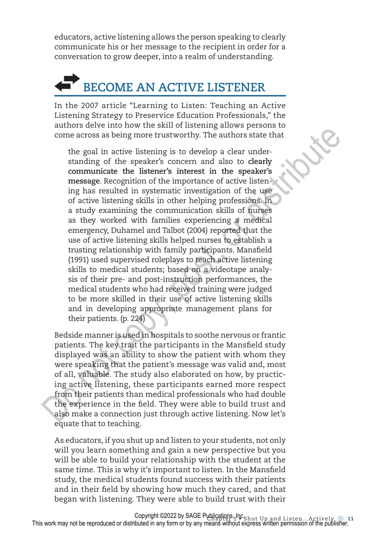educators, active listening allows the person speaking to clearly communicate his or her message to the recipient in order for a conversation to grow deeper, into a realm of understanding.

## **BECOME AN ACTIVE LISTENER**

In the 2007 article "Learning to Listen: Teaching an Active Listening Strategy to Preservice Education Professionals," the authors delve into how the skill of listening allows persons to come across as being more trustworthy. The authors state that

the goal in active listening is to develop a clear understanding of the speaker's concern and also to **clearly communicate the listener's interest in the speaker's message**. Recognition of the importance of active listening has resulted in systematic investigation of the use of active listening skills in other helping professions. In a study examining the communication skills of nurses as they worked with families experiencing a medical emergency, Duhamel and Talbot (2004) reported that the use of active listening skills helped nurses to establish a trusting relationship with family participants. Mansfield (1991) used supervised roleplays to teach active listening skills to medical students; based on a videotape analysis of their pre- and post-instruction performances, the medical students who had received training were judged to be more skilled in their use of active listening skills and in developing appropriate management plans for their patients. (p. 224) action arcses as being more trustworthy. The authors state that<br>the goal in active listening is to develop a clear under-<br>standing of the speaker's concern and also to clearly<br>communicate the listener's concern and also to

Bedside manner is used in hospitals to soothe nervous or frantic patients. The key trait the participants in the Mansfield study displayed was an ability to show the patient with whom they were speaking that the patient's message was valid and, most of all, valuable. The study also elaborated on how, by practicing active listening, these participants earned more respect from their patients than medical professionals who had double the experience in the field. They were able to build trust and also make a connection just through active listening. Now let's equate that to teaching.

As educators, if you shut up and listen to your students, not only will you learn something and gain a new perspective but you will be able to build your relationship with the student at the same time. This is why it's important to listen. In the Mansfield study, the medical students found success with their patients and in their field by showing how much they cared, and that began with listening. They were able to build trust with their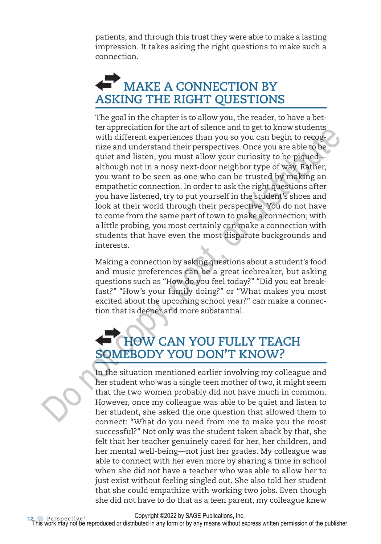patients, and through this trust they were able to make a lasting impression. It takes asking the right questions to make such a connection.

## **MAKE A CONNECTION BY ASKING THE RIGHT QUESTIONS**

The goal in the chapter is to allow you, the reader, to have a better appreciation for the art of silence and to get to know students with different experiences than you so you can begin to recognize and understand their perspectives. Once you are able to be quiet and listen, you must allow your curiosity to be piqued although not in a nosy next-door neighbor type of way. Rather, you want to be seen as one who can be trusted by making an empathetic connection. In order to ask the right questions after you have listened, try to put yourself in the student's shoes and look at their world through their perspective. You do not have to come from the same part of town to make a connection; with a little probing, you most certainly can make a connection with students that have even the most disparate backgrounds and interests. er appreciation for the articular state and to get to know students.<br>
with different experiences fan you so you can begin to recog-<br>
nize and understand their perspectives. Once you can begin to recog-<br>
quiet and listen, y

Making a connection by asking questions about a student's food and music preferences can be a great icebreaker, but asking questions such as "How do you feel today?" "Did you eat breakfast?" "How's your family doing?" or "What makes you most excited about the upcoming school year?" can make a connection that is deeper and more substantial.

## **HOW CAN YOU FULLY TEACH SOMEBODY YOU DON'T KNOW?**

In the situation mentioned earlier involving my colleague and her student who was a single teen mother of two, it might seem that the two women probably did not have much in common. However, once my colleague was able to be quiet and listen to her student, she asked the one question that allowed them to connect: "What do you need from me to make you the most successful?" Not only was the student taken aback by that, she felt that her teacher genuinely cared for her, her children, and her mental well-being—not just her grades. My colleague was able to connect with her even more by sharing a time in school when she did not have a teacher who was able to allow her to just exist without feeling singled out. She also told her student that she could empathize with working two jobs. Even though she did not have to do that as a teen parent, my colleague knew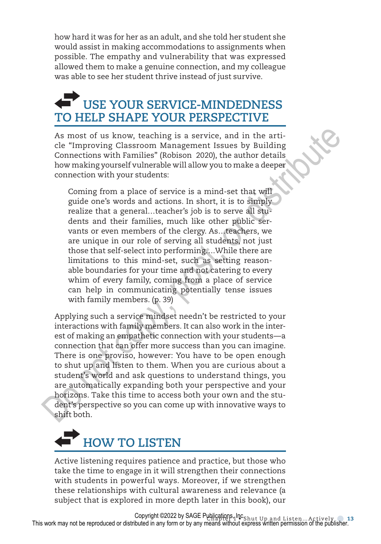how hard it was for her as an adult, and she told her student she would assist in making accommodations to assignments when possible. The empathy and vulnerability that was expressed allowed them to make a genuine connection, and my colleague was able to see her student thrive instead of just survive.

## **USE YOUR SERVICE-MINDEDNESS TO HELP SHAPE YOUR PERSPECTIVE**

As most of us know, teaching is a service, and in the article "Improving Classroom Management Issues by Building Connections with Families" (Robison 2020), the author details how making yourself vulnerable will allow you to make a deeper connection with your students:

Coming from a place of service is a mind-set that will guide one's words and actions. In short, it is to simply realize that a general…teacher's job is to serve all students and their families, much like other public servants or even members of the clergy. As…teachers, we are unique in our role of serving all students, not just those that self-select into performing….While there are limitations to this mind-set, such as setting reasonable boundaries for your time and not catering to every whim of every family, coming from a place of service can help in communicating potentially tense issues with family members. (p. 39)

Applying such a service mindset needn't be restricted to your interactions with family members. It can also work in the interest of making an empathetic connection with your students—a connection that can offer more success than you can imagine. There is one proviso, however: You have to be open enough to shut up and listen to them. When you are curious about a student's world and ask questions to understand things, you are automatically expanding both your perspective and your horizons. Take this time to access both your own and the student's perspective so you can come up with innovative ways to shift both. As most of us know, teaching is a service, and in the article "Improving Classroom Management Issues by Building Connections with Families" (Robison 2020), the author details how making yourself vulnerable will allow you



Active listening requires patience and practice, but those who take the time to engage in it will strengthen their connections with students in powerful ways. Moreover, if we strengthen these relationships with cultural awareness and relevance (a subject that is explored in more depth later in this book), our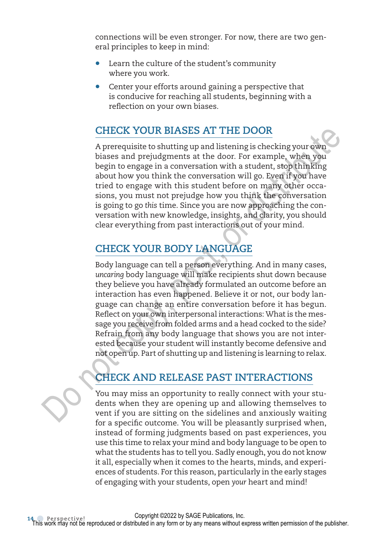connections will be even stronger. For now, there are two general principles to keep in mind:

- Learn the culture of the student's community where you work.
- Center your efforts around gaining a perspective that is conducive for reaching all students, beginning with a reflection on your own biases.

#### **CHECK YOUR BIASES AT THE DOOR**

A prerequisite to shutting up and listening is checking your own biases and prejudgments at the door. For example, when you begin to engage in a conversation with a student, stop thinking about how you think the conversation will go. Even if you have tried to engage with this student before on many other occasions, you must not prejudge how you think the conversation is going to go *this* time. Since you are now approaching the conversation with new knowledge, insights, and clarity, you should clear everything from past interactions out of your mind.

#### **CHECK YOUR BODY LANGUAGE**

Body language can tell a person everything. And in many cases, *uncaring* body language will make recipients shut down because they believe you have already formulated an outcome before an interaction has even happened. Believe it or not, our body language can change an entire conversation before it has begun. Reflect on your own interpersonal interactions: What is the message you receive from folded arms and a head cocked to the side? Refrain from any body language that shows you are not interested because your student will instantly become defensive and not open up. Part of shutting up and listening is learning to relax. CHECK YOUR BIASES AT THE DOOR<br>A prerequisite to shutting up and listening is checking your own<br>biases and prejudgments at the door. For example, when you<br>begin to engage in a conversation with a student, stop thinking<br>abou

#### **CHECK AND RELEASE PAST INTERACTIONS**

You may miss an opportunity to really connect with your students when they are opening up and allowing themselves to vent if you are sitting on the sidelines and anxiously waiting for a specific outcome. You will be pleasantly surprised when, instead of forming judgments based on past experiences, you use this time to relax your mind and body language to be open to what the students has to tell you. Sadly enough, you do not know it all, especially when it comes to the hearts, minds, and experiences of students. For this reason, particularly in the early stages of engaging with your students, open *your* heart and mind!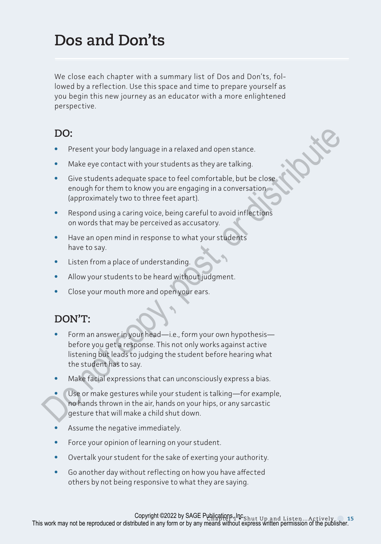## **Dos and Don'ts**

We close each chapter with a summary list of Dos and Don'ts, followed by a reflection. Use this space and time to prepare yourself as you begin this new journey as an educator with a more enlightened perspective.

#### **DO:**

- **•** Present your body language in a relaxed and open stance.
- **•** Make eye contact with your students as they are talking.
- **•** Give students adequate space to feel comfortable, but be close enough for them to know you are engaging in a conversation (approximately two to three feet apart).
- **•** Respond using a caring voice, being careful to avoid inflections on words that may be perceived as accusatory.
- **•** Have an open mind in response to what your students have to say.
- **•** Listen from a place of understanding.
- **•** Allow your students to be heard without judgment.
- **•** Close your mouth more and open your ears.

#### **DON'T:**

- **•** Form an answer in your head—i.e., form your own hypothesis before you get a response. This not only works against active listening but leads to judging the student before hearing what the student has to say. **DO:**<br>
■ Present your body language in a relaxed and open stance.<br>
■ Make eye contact with your students as they are talking.<br>
■ Give students adequate space to feel comfortable, but be close<br>
enough for them to know you
	- **•** Make facial expressions that can unconsciously express a bias.
	- **•** Use or make gestures while your student is talking—for example, no hands thrown in the air, hands on your hips, or any sarcastic gesture that will make a child shut down.
	- **•** Assume the negative immediately.
	- **•** Force your opinion of learning on your student.
	- **•** Overtalk your student for the sake of exerting your authority.
	- **•** Go another day without reflecting on how you have affected others by not being responsive to what they are saying.